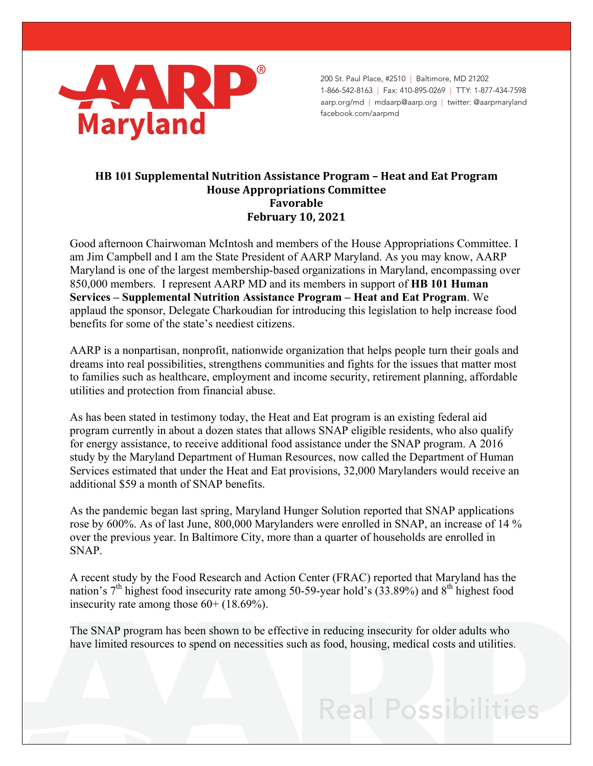

200 St. Paul Place, #2510 | Baltimore, MD 21202 1-866-542-8163 | Fax: 410-895-0269 | TTY: 1-877-434-7598 aarp.org/md | mdaarp@aarp.org | twitter: @aarpmaryland facebook.com/aarpmd

## **HB 101 Supplemental Nutrition Assistance Program – Heat and Eat Program House Appropriations Committee Favorable February 10, 2021**

Good afternoon Chairwoman McIntosh and members of the House Appropriations Committee. I am Jim Campbell and I am the State President of AARP Maryland. As you may know, AARP Maryland is one of the largest membership-based organizations in Maryland, encompassing over 850,000 members. I represent AARP MD and its members in support of **HB 101 Human Services – Supplemental Nutrition Assistance Program – Heat and Eat Program**. We applaud the sponsor, Delegate Charkoudian for introducing this legislation to help increase food benefits for some of the state's neediest citizens.

AARP is a nonpartisan, nonprofit, nationwide organization that helps people turn their goals and dreams into real possibilities, strengthens communities and fights for the issues that matter most to families such as healthcare, employment and income security, retirement planning, affordable utilities and protection from financial abuse.

As has been stated in testimony today, the Heat and Eat program is an existing federal aid program currently in about a dozen states that allows SNAP eligible residents, who also qualify for energy assistance, to receive additional food assistance under the SNAP program. A 2016 study by the Maryland Department of Human Resources, now called the Department of Human Services estimated that under the Heat and Eat provisions, 32,000 Marylanders would receive an additional \$59 a month of SNAP benefits.

As the pandemic began last spring, Maryland Hunger Solution reported that SNAP applications rose by 600%. As of last June, 800,000 Marylanders were enrolled in SNAP, an increase of 14 % over the previous year. In Baltimore City, more than a quarter of households are enrolled in SNAP.

A recent study by the Food Research and Action Center (FRAC) reported that Maryland has the nation's  $7<sup>th</sup>$  highest food insecurity rate among 50-59-year hold's (33.89%) and 8<sup>th</sup> highest food insecurity rate among those 60+ (18.69%).

The SNAP program has been shown to be effective in reducing insecurity for older adults who have limited resources to spend on necessities such as food, housing, medical costs and utilities.

## **Real Possibilities**